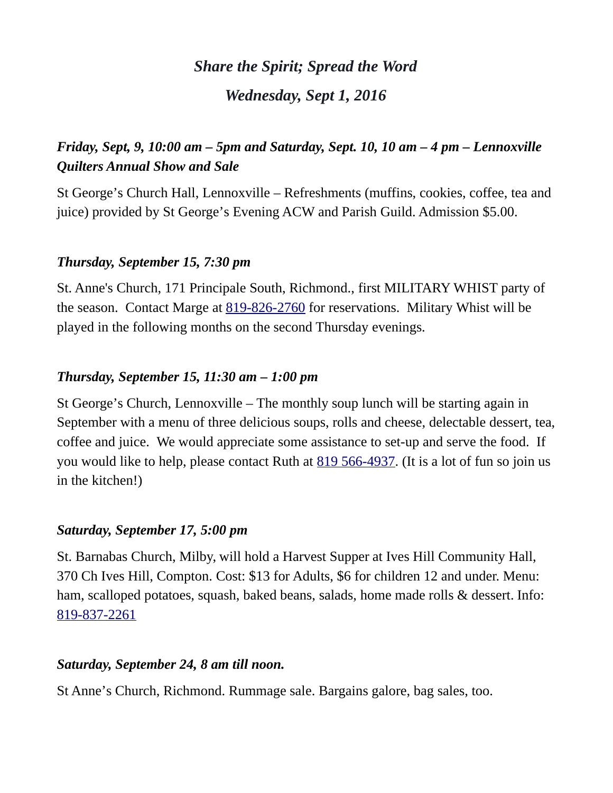# *Share the Spirit; Spread the Word Wednesday, Sept 1, 2016*

# *Friday, Sept, 9, 10:00 am – 5pm and Saturday, Sept. 10, 10 am – 4 pm – Lennoxville Quilters Annual Show and Sale*

St George's Church Hall, Lennoxville – Refreshments (muffins, cookies, coffee, tea and juice) provided by St George's Evening ACW and Parish Guild. Admission \$5.00.

#### *Thursday, September 15, 7:30 pm*

St. Anne's Church, 171 Principale South, Richmond., first MILITARY WHIST party of the season. Contact Marge at [819-826-2760](tel:819-826-2760) for reservations. Military Whist will be played in the following months on the second Thursday evenings.

#### *Thursday, September 15, 11:30 am – 1:00 pm*

St George's Church, Lennoxville – The monthly soup lunch will be starting again in September with a menu of three delicious soups, rolls and cheese, delectable dessert, tea, coffee and juice. We would appreciate some assistance to set-up and serve the food. If you would like to help, please contact Ruth at [819 566-4937.](tel:819%20566-4937) (It is a lot of fun so join us in the kitchen!)

#### *Saturday, September 17, 5:00 pm*

St. Barnabas Church, Milby, will hold a Harvest Supper at Ives Hill Community Hall, 370 Ch Ives Hill, Compton. Cost: \$13 for Adults, \$6 for children 12 and under. Menu: ham, scalloped potatoes, squash, baked beans, salads, home made rolls & dessert. Info: [819-837-2261](tel:819-837-2261)

## *Saturday, September 24, 8 am till noon.*

St Anne's Church, Richmond. Rummage sale. Bargains galore, bag sales, too.